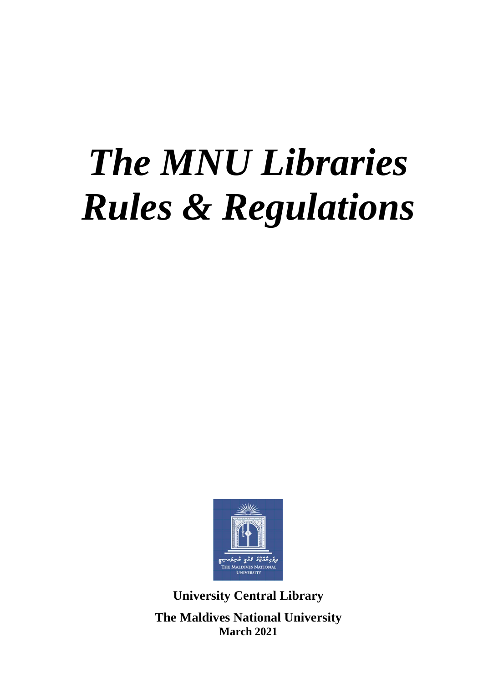# *The MNU Libraries Rules & Regulations*



**University Central Library The Maldives National University March 2021**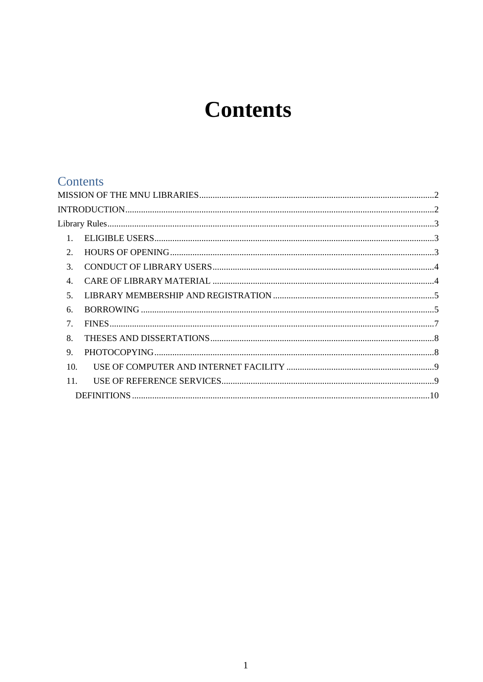## **Contents**

## Contents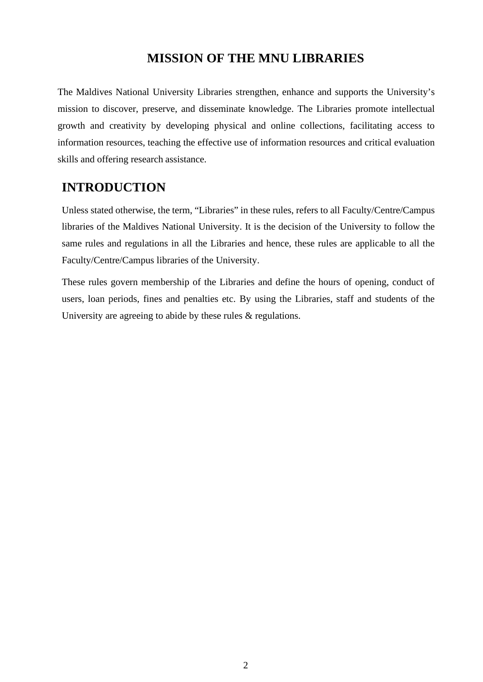#### **MISSION OF THE MNU LIBRARIES**

<span id="page-2-0"></span>The Maldives National University Libraries strengthen, enhance and supports the University's mission to discover, preserve, and disseminate knowledge. The Libraries promote intellectual growth and creativity by developing physical and online collections, facilitating access to information resources, teaching the effective use of information resources and critical evaluation skills and offering research assistance.

#### <span id="page-2-1"></span>**INTRODUCTION**

Unless stated otherwise, the term, "Libraries" in these rules, refers to all Faculty/Centre/Campus libraries of the Maldives National University. It is the decision of the University to follow the same rules and regulations in all the Libraries and hence, these rules are applicable to all the Faculty/Centre/Campus libraries of the University.

These rules govern membership of the Libraries and define the hours of opening, conduct of users, loan periods, fines and penalties etc. By using the Libraries, staff and students of the University are agreeing to abide by these rules & regulations.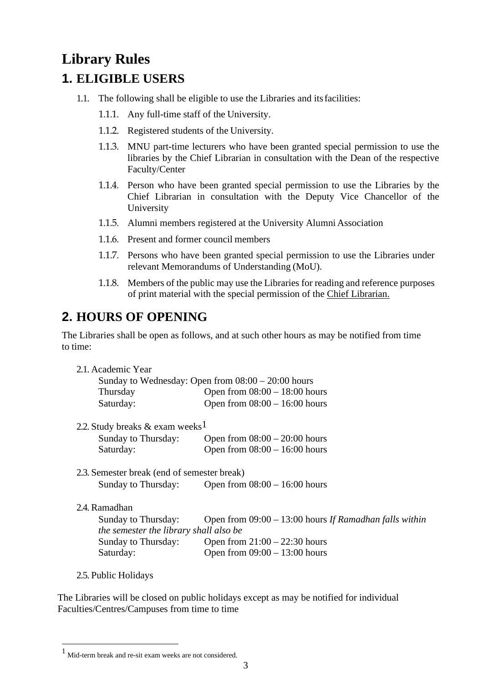## <span id="page-3-0"></span>**Library Rules**

## <span id="page-3-1"></span>**1. ELIGIBLE USERS**

- 1.1. The following shall be eligible to use the Libraries and itsfacilities:
	- 1.1.1. Any full-time staff of the University.
	- 1.1.2. Registered students of the University.
	- 1.1.3. MNU part-time lecturers who have been granted special permission to use the libraries by the Chief Librarian in consultation with the Dean of the respective Faculty/Center
	- 1.1.4. Person who have been granted special permission to use the Libraries by the Chief Librarian in consultation with the Deputy Vice Chancellor of the University
	- 1.1.5. Alumni members registered at the University Alumni Association
	- 1.1.6. Present and former council members
	- 1.1.7. Persons who have been granted special permission to use the Libraries under relevant Memorandums of Understanding (MoU).
	- 1.1.8. Members of the public may use the Libraries for reading and reference purposes of print material with the special permission of the Chief Librarian.

## <span id="page-3-2"></span>**2. HOURS OF OPENING**

The Libraries shall be open as follows, and at such other hours as may be notified from time to time:

| 2.1. Academic Year                          |                                                          |
|---------------------------------------------|----------------------------------------------------------|
|                                             | Sunday to Wednesday: Open from $08:00 - 20:00$ hours     |
| Thursday                                    | Open from $08:00 - 18:00$ hours                          |
| Saturday:                                   | Open from $08:00 - 16:00$ hours                          |
| 2.2. Study breaks & exam weeks <sup>1</sup> |                                                          |
| Sunday to Thursday:                         | Open from $08:00 - 20:00$ hours                          |
| Saturday:                                   | Open from $08:00 - 16:00$ hours                          |
| 2.3. Semester break (end of semester break) |                                                          |
|                                             | Sunday to Thursday: Open from $08:00 - 16:00$ hours      |
| 2.4. Ramadhan                               |                                                          |
| Sunday to Thursday:                         | Open from $09:00 - 13:00$ hours If Ramadhan falls within |
| the semester the library shall also be      |                                                          |
| Sunday to Thursday:                         | Open from $21:00 - 22:30$ hours                          |
| Saturday:                                   | Open from $09:00 - 13:00$ hours                          |

2.5. Public Holidays

The Libraries will be closed on public holidays except as may be notified for individual Faculties/Centres/Campuses from time to time

<span id="page-3-3"></span><sup>1</sup> Mid-term break and re-sit exam weeks are not considered.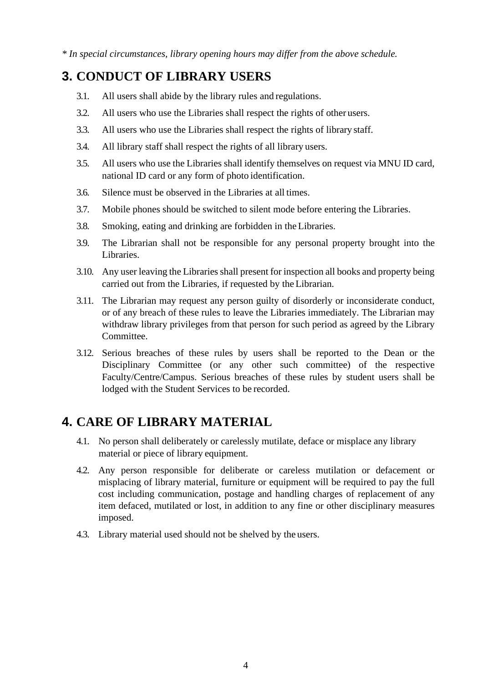*\* In special circumstances, library opening hours may differ from the above schedule.*

## <span id="page-4-0"></span>**3. CONDUCT OF LIBRARY USERS**

- 3.1. All users shall abide by the library rules and regulations.
- 3.2. All users who use the Libraries shall respect the rights of other users.
- 3.3. All users who use the Libraries shall respect the rights of library staff.
- 3.4. All library staff shall respect the rights of all library users.
- 3.5. All users who use the Libraries shall identify themselves on request via MNU ID card, national ID card or any form of photo identification.
- 3.6. Silence must be observed in the Libraries at all times.
- 3.7. Mobile phones should be switched to silent mode before entering the Libraries.
- 3.8. Smoking, eating and drinking are forbidden in the Libraries.
- 3.9. The Librarian shall not be responsible for any personal property brought into the Libraries.
- 3.10. Any user leaving the Libraries shall present for inspection all books and property being carried out from the Libraries, if requested by the Librarian.
- 3.11. The Librarian may request any person guilty of disorderly or inconsiderate conduct, or of any breach of these rules to leave the Libraries immediately. The Librarian may withdraw library privileges from that person for such period as agreed by the Library Committee.
- 3.12. Serious breaches of these rules by users shall be reported to the Dean or the Disciplinary Committee (or any other such committee) of the respective Faculty/Centre/Campus. Serious breaches of these rules by student users shall be lodged with the Student Services to be recorded.

## <span id="page-4-1"></span>**4. CARE OF LIBRARY MATERIAL**

- 4.1. No person shall deliberately or carelessly mutilate, deface or misplace any library material or piece of library equipment.
- 4.2. Any person responsible for deliberate or careless mutilation or defacement or misplacing of library material, furniture or equipment will be required to pay the full cost including communication, postage and handling charges of replacement of any item defaced, mutilated or lost, in addition to any fine or other disciplinary measures imposed.
- 4.3. Library material used should not be shelved by the users.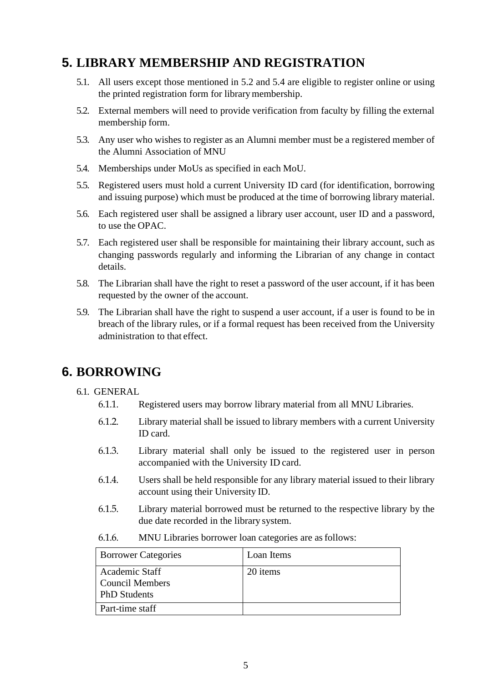## <span id="page-5-0"></span>**5. LIBRARY MEMBERSHIP AND REGISTRATION**

- 5.1. All users except those mentioned in 5.2 and 5.4 are eligible to register online or using the printed registration form for library membership.
- 5.2. External members will need to provide verification from faculty by filling the external membership form.
- 5.3. Any user who wishes to register as an Alumni member must be a registered member of the Alumni Association of MNU
- 5.4. Memberships under MoUs as specified in each MoU.
- 5.5. Registered users must hold a current University ID card (for identification, borrowing and issuing purpose) which must be produced at the time of borrowing library material.
- 5.6. Each registered user shall be assigned a library user account, user ID and a password, to use the OPAC.
- 5.7. Each registered user shall be responsible for maintaining their library account, such as changing passwords regularly and informing the Librarian of any change in contact details.
- 5.8. The Librarian shall have the right to reset a password of the user account, if it has been requested by the owner of the account.
- 5.9. The Librarian shall have the right to suspend a user account, if a user is found to be in breach of the library rules, or if a formal request has been received from the University administration to that effect.

## <span id="page-5-1"></span>**6. BORROWING**

#### 6.1. GENERAL

- 6.1.1. Registered users may borrow library material from all MNU Libraries.
- 6.1.2. Library material shall be issued to library members with a current University ID card.
- 6.1.3. Library material shall only be issued to the registered user in person accompanied with the University ID card.
- 6.1.4. Users shall be held responsible for any library material issued to their library account using their University ID.
- 6.1.5. Library material borrowed must be returned to the respective library by the due date recorded in the library system.
- 6.1.6. MNU Libraries borrower loan categories are asfollows:

| <b>Borrower Categories</b>                               | Loan Items |
|----------------------------------------------------------|------------|
| Academic Staff<br>Council Members<br><b>PhD</b> Students | 20 items   |
| Part-time staff                                          |            |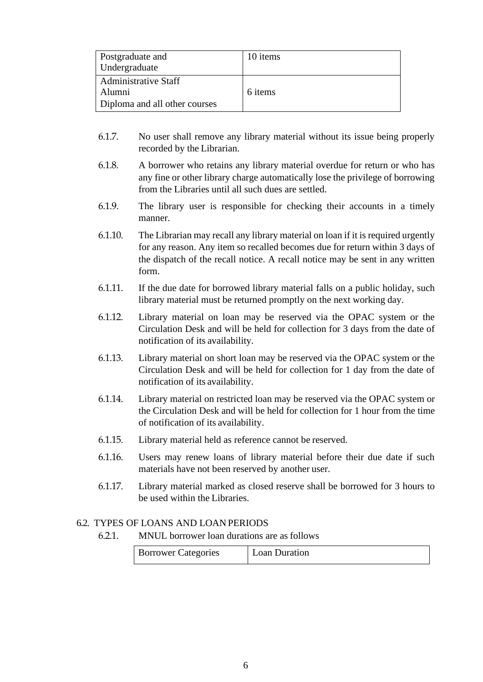| Postgraduate and<br>Undergraduate                                      | 10 items |
|------------------------------------------------------------------------|----------|
| <b>Administrative Staff</b><br>Alumni<br>Diploma and all other courses | 6 items  |

- 6.1.7. No user shall remove any library material without its issue being properly recorded by the Librarian.
- 6.1.8. A borrower who retains any library material overdue for return or who has any fine or other library charge automatically lose the privilege of borrowing from the Libraries until all such dues are settled.
- 6.1.9. The library user is responsible for checking their accounts in a timely manner.
- 6.1.10. The Librarian may recall any library material on loan if it is required urgently for any reason. Any item so recalled becomes due for return within 3 days of the dispatch of the recall notice. A recall notice may be sent in any written form.
- 6.1.11. If the due date for borrowed library material falls on a public holiday, such library material must be returned promptly on the next working day.
- 6.1.12. Library material on loan may be reserved via the OPAC system or the Circulation Desk and will be held for collection for 3 days from the date of notification of its availability.
- 6.1.13. Library material on short loan may be reserved via the OPAC system or the Circulation Desk and will be held for collection for 1 day from the date of notification of its availability.
- 6.1.14. Library material on restricted loan may be reserved via the OPAC system or the Circulation Desk and will be held for collection for 1 hour from the time of notification of its availability.
- 6.1.15. Library material held as reference cannot be reserved.
- 6.1.16. Users may renew loans of library material before their due date if such materials have not been reserved by another user.
- 6.1.17. Library material marked as closed reserve shall be borrowed for 3 hours to be used within the Libraries.

#### 6.2. TYPES OF LOANS AND LOAN PERIODS

6.2.1. MNUL borrower loan durations are as follows

| <b>Borrower Categories</b> | Loan Duration |
|----------------------------|---------------|
|----------------------------|---------------|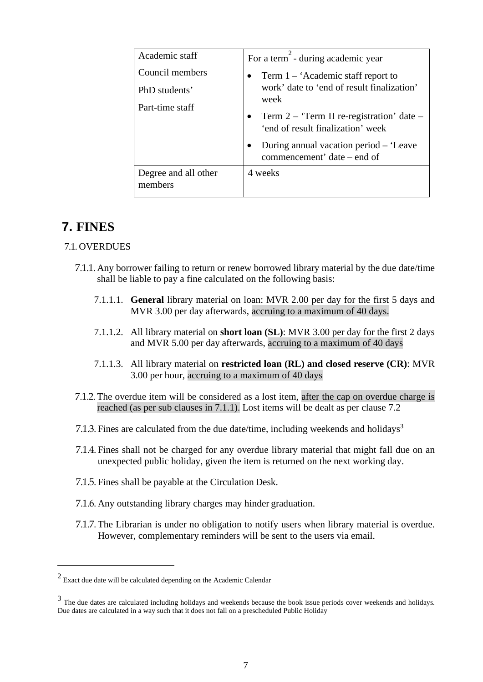| Academic staff                                      | For a term - during academic year                                                                                                                                    |
|-----------------------------------------------------|----------------------------------------------------------------------------------------------------------------------------------------------------------------------|
| Council members<br>PhD students'<br>Part-time staff | Term $1 - 'Academic$ staff report to<br>$\bullet$<br>work' date to 'end of result finalization'<br>week<br>Term $2 -$ Term II re-registration' date $-$<br>$\bullet$ |
|                                                     | 'end of result finalization' week<br>During annual vacation period – 'Leave<br>commencement' date – end of                                                           |
| Degree and all other<br>members                     | 4 weeks                                                                                                                                                              |

## <span id="page-7-0"></span>**7. FINES**

#### 7.1. OVERDUES

- 7.1.1. Any borrower failing to return or renew borrowed library material by the due date/time shall be liable to pay a fine calculated on the following basis:
	- 7.1.1.1. **General** library material on loan: MVR 2.00 per day for the first 5 days and MVR 3.00 per day afterwards, accruing to a maximum of 40 days.
	- 7.1.1.2. All library material on **short loan (SL)**: MVR 3.00 per day for the first 2 days and MVR 5.00 per day afterwards, accruing to a maximum of 40 days
	- 7.1.1.3. All library material on **restricted loan (RL) and closed reserve (CR)**: MVR 3.00 per hour, accruing to a maximum of 40 days
- 7.1.2. The overdue item will be considered as a lost item, after the cap on overdue charge is reached (as per sub clauses in 7.1.1). Lost items will be dealt as per clause 7.2
- 7.1.3. Fines are calculated from the due date/time, including weekends and holidays<sup>3</sup>
- 7.1.4. Fines shall not be charged for any overdue library material that might fall due on an unexpected public holiday, given the item is returned on the next working day.
- 7.1.5. Fines shall be payable at the Circulation Desk.
- 7.1.6. Any outstanding library charges may hinder graduation.
- 7.1.7. The Librarian is under no obligation to notify users when library material is overdue. However, complementary reminders will be sent to the users via email.

<sup>&</sup>lt;sup>2</sup> Exact due date will be calculated depending on the Academic Calendar

<sup>&</sup>lt;sup>3</sup> The due dates are calculated including holidays and weekends because the book issue periods cover weekends and holidays. Due dates are calculated in a way such that it does not fall on a prescheduled Public Holiday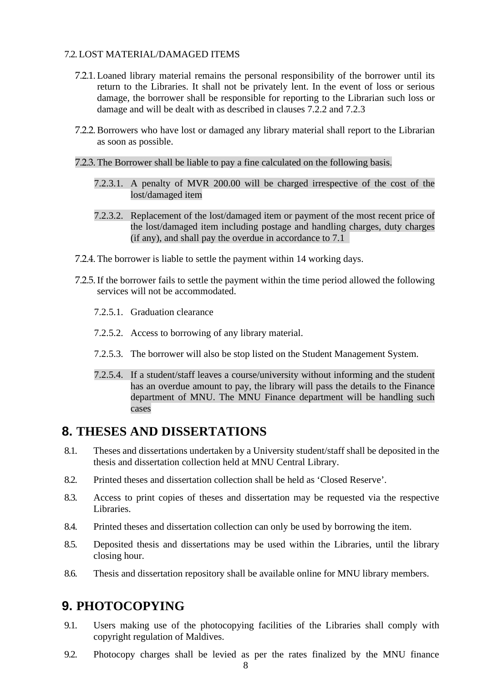#### 7.2. LOST MATERIAL/DAMAGED ITEMS

- 7.2.1. Loaned library material remains the personal responsibility of the borrower until its return to the Libraries. It shall not be privately lent. In the event of loss or serious damage, the borrower shall be responsible for reporting to the Librarian such loss or damage and will be dealt with as described in clauses 7.2.2 and 7.2.3
- 7.2.2.Borrowers who have lost or damaged any library material shall report to the Librarian as soon as possible.
- 7.2.3. The Borrower shall be liable to pay a fine calculated on the following basis.
	- 7.2.3.1. A penalty of MVR 200.00 will be charged irrespective of the cost of the lost/damaged item
	- 7.2.3.2. Replacement of the lost/damaged item or payment of the most recent price of the lost/damaged item including postage and handling charges, duty charges (if any), and shall pay the overdue in accordance to 7.1
- 7.2.4. The borrower is liable to settle the payment within 14 working days.
- 7.2.5.If the borrower fails to settle the payment within the time period allowed the following services will not be accommodated.
	- 7.2.5.1. Graduation clearance
	- 7.2.5.2. Access to borrowing of any library material.
	- 7.2.5.3. The borrower will also be stop listed on the Student Management System.
	- 7.2.5.4. If a student/staff leaves a course/university without informing and the student has an overdue amount to pay, the library will pass the details to the Finance department of MNU. The MNU Finance department will be handling such cases

#### <span id="page-8-0"></span>**8. THESES AND DISSERTATIONS**

- 8.1. Theses and dissertations undertaken by a University student/staff shall be deposited in the thesis and dissertation collection held at MNU Central Library.
- 8.2. Printed theses and dissertation collection shall be held as 'Closed Reserve'.
- 8.3. Access to print copies of theses and dissertation may be requested via the respective Libraries.
- 8.4. Printed theses and dissertation collection can only be used by borrowing the item.
- 8.5. Deposited thesis and dissertations may be used within the Libraries, until the library closing hour.
- 8.6. Thesis and dissertation repository shall be available online for MNU library members.

#### <span id="page-8-1"></span>**9. PHOTOCOPYING**

- 9.1. Users making use of the photocopying facilities of the Libraries shall comply with copyright regulation of Maldives.
- 9.2. Photocopy charges shall be levied as per the rates finalized by the MNU finance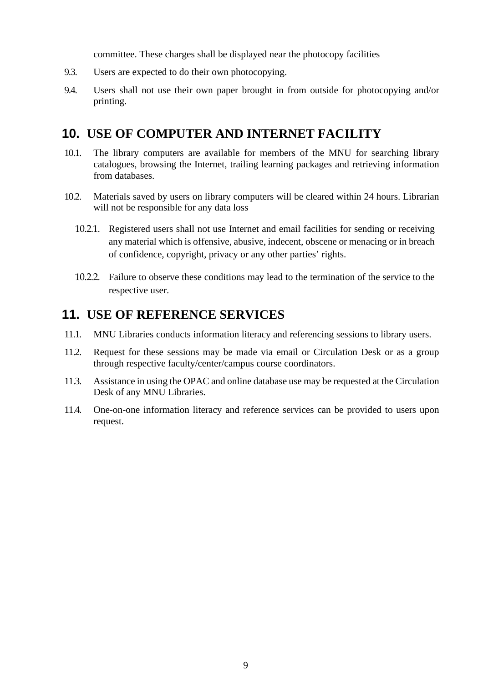committee. These charges shall be displayed near the photocopy facilities

- 9.3. Users are expected to do their own photocopying.
- 9.4. Users shall not use their own paper brought in from outside for photocopying and/or printing.

## <span id="page-9-0"></span>**10. USE OF COMPUTER AND INTERNET FACILITY**

- 10.1. The library computers are available for members of the MNU for searching library catalogues, browsing the Internet, trailing learning packages and retrieving information from databases.
- 10.2. Materials saved by users on library computers will be cleared within 24 hours. Librarian will not be responsible for any data loss
	- 10.2.1. Registered users shall not use Internet and email facilities for sending or receiving any material which is offensive, abusive, indecent, obscene or menacing or in breach of confidence, copyright, privacy or any other parties' rights.
	- 10.2.2. Failure to observe these conditions may lead to the termination of the service to the respective user.

## <span id="page-9-1"></span>**11. USE OF REFERENCE SERVICES**

- 11.1. MNU Libraries conducts information literacy and referencing sessions to library users.
- 11.2. Request for these sessions may be made via email or Circulation Desk or as a group through respective faculty/center/campus course coordinators.
- 11.3. Assistance in using the OPAC and online database use may be requested at the Circulation Desk of any MNU Libraries.
- 11.4. One-on-one information literacy and reference services can be provided to users upon request.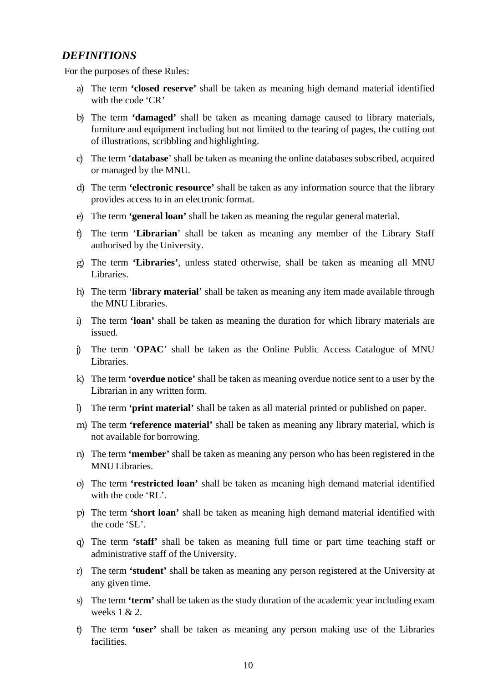#### <span id="page-10-0"></span>*DEFINITIONS*

For the purposes of these Rules:

- a) The term **'closed reserve'** shall be taken as meaning high demand material identified with the code 'CR'
- b) The term **'damaged'** shall be taken as meaning damage caused to library materials, furniture and equipment including but not limited to the tearing of pages, the cutting out of illustrations, scribbling and highlighting.
- c) The term '**database**' shall be taken as meaning the online databases subscribed, acquired or managed by the MNU.
- d) The term **'electronic resource'** shall be taken as any information source that the library provides access to in an electronic format.
- e) The term **'general loan'** shall be taken as meaning the regular generalmaterial.
- f) The term '**Librarian**' shall be taken as meaning any member of the Library Staff authorised by the University.
- g) The term **'Libraries'**, unless stated otherwise, shall be taken as meaning all MNU Libraries.
- h) The term '**library material**' shall be taken as meaning any item made available through the MNU Libraries.
- i) The term **'loan'** shall be taken as meaning the duration for which library materials are issued.
- j) The term '**OPAC**' shall be taken as the Online Public Access Catalogue of MNU Libraries.
- k) The term **'overdue notice'** shall be taken as meaning overdue notice sent to a user by the Librarian in any written form.
- l) The term **'print material'** shall be taken as all material printed or published on paper.
- m) The term **'reference material'** shall be taken as meaning any library material, which is not available for borrowing.
- n) The term **'member'** shall be taken as meaning any person who has been registered in the MNU Libraries.
- o) The term **'restricted loan'** shall be taken as meaning high demand material identified with the code 'RL'.
- p) The term **'short loan'** shall be taken as meaning high demand material identified with the code 'SL'.
- q) The term **'staff'** shall be taken as meaning full time or part time teaching staff or administrative staff of the University.
- r) The term **'student'** shall be taken as meaning any person registered at the University at any given time.
- s) The term **'term'** shall be taken as the study duration of the academic year including exam weeks 1 & 2.
- t) The term **'user'** shall be taken as meaning any person making use of the Libraries facilities.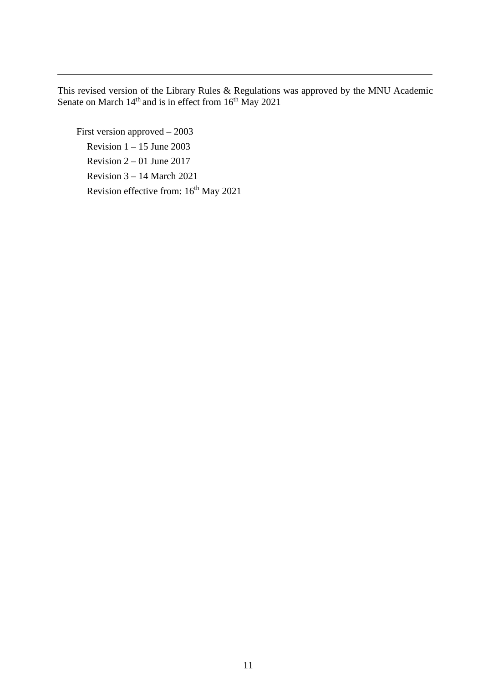This revised version of the Library Rules & Regulations was approved by the MNU Academic Senate on March  $14<sup>th</sup>$  and is in effect from  $16<sup>th</sup>$  May 2021

First version approved – 2003 Revision  $1 - 15$  June 2003 Revision  $2 - 01$  June 2017 Revision 3 – 14 March 2021 Revision effective from:  $16<sup>th</sup>$  May 2021